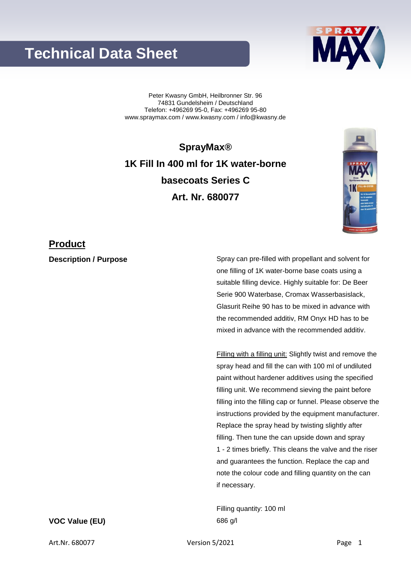## **Technical Data Sheet**

Peter Kwasny GmbH, Heilbronner Str. 96 74831 Gundelsheim / Deutschland Telefon: +496269 95-0, Fax: +496269 95-80 www.spraymax.com / www.kwasny.com / info@kwasny.de

**SprayMax® 1K Fill In 400 ml for 1K water-borne basecoats Series C Art. Nr. 680077**

### **Product**

**Description / Purpose** Spray can pre-filled with propellant and solvent for one filling of 1K water-borne base coats using a suitable filling device. Highly suitable for: De Beer Serie 900 Waterbase, Cromax Wasserbasislack, Glasurit Reihe 90 has to be mixed in advance with the recommended additiv, RM Onyx HD has to be mixed in advance with the recommended additiv.

> Filling with a filling unit: Slightly twist and remove the spray head and fill the can with 100 ml of undiluted paint without hardener additives using the specified filling unit. We recommend sieving the paint before filling into the filling cap or funnel. Please observe the instructions provided by the equipment manufacturer. Replace the spray head by twisting slightly after filling. Then tune the can upside down and spray 1 - 2 times briefly. This cleans the valve and the riser and guarantees the function. Replace the cap and note the colour code and filling quantity on the can if necessary.

Filling quantity: 100 ml **VOC Value (EU)** 686 g/l



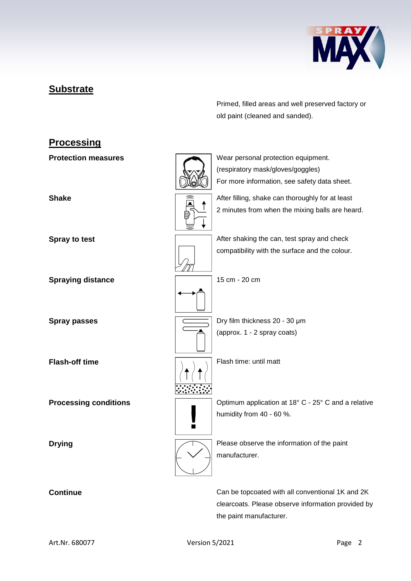

## **Substrate**

Primed, filled areas and well preserved factory or old paint (cleaned and sanded).

# **Processing Protection measures** Wear personal protection equipment. (respiratory mask/gloves/goggles) For more information, see safety data sheet. **Shake** After filling, shake can thoroughly for at least 2 minutes from when the mixing balls are heard. **Spray to test Spray to test** After shaking the can, test spray and check compatibility with the surface and the colour. **Spraying distance** 15 cm - 20 cm **Spray passes Dry film thickness 20 - 30 μm** (approx. 1 - 2 spray coats) **Flash-off time** Flash time: until matt **Processing conditions**  $\sqrt{2}$  Optimum application at 18° C - 25° C and a relative humidity from 40 - 60 %.  $\blacksquare$ **Drying Please observe the information of the paint** manufacturer.

**Continue** Can be topcoated with all conventional 1K and 2K clearcoats. Please observe information provided by the paint manufacturer.